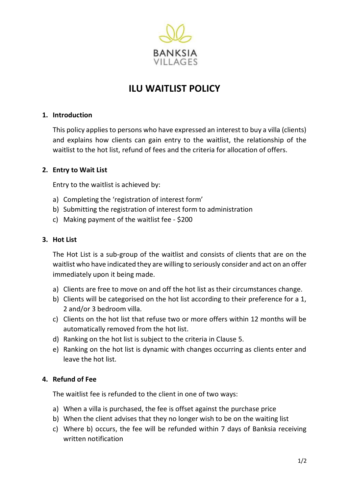

# **ILU WAITLIST POLICY**

# **1. Introduction**

This policy applies to persons who have expressed an interest to buy a villa (clients) and explains how clients can gain entry to the waitlist, the relationship of the waitlist to the hot list, refund of fees and the criteria for allocation of offers.

## **2. Entry to Wait List**

Entry to the waitlist is achieved by:

- a) Completing the 'registration of interest form'
- b) Submitting the registration of interest form to administration
- c) Making payment of the waitlist fee \$200

#### **3. Hot List**

The Hot List is a sub-group of the waitlist and consists of clients that are on the waitlist who have indicated they are willing to seriously consider and act on an offer immediately upon it being made.

- a) Clients are free to move on and off the hot list as their circumstances change.
- b) Clients will be categorised on the hot list according to their preference for a 1, 2 and/or 3 bedroom villa.
- c) Clients on the hot list that refuse two or more offers within 12 months will be automatically removed from the hot list.
- d) Ranking on the hot list is subject to the criteria in Clause 5.
- e) Ranking on the hot list is dynamic with changes occurring as clients enter and leave the hot list.

# **4. Refund of Fee**

The waitlist fee is refunded to the client in one of two ways:

- a) When a villa is purchased, the fee is offset against the purchase price
- b) When the client advises that they no longer wish to be on the waiting list
- c) Where b) occurs, the fee will be refunded within 7 days of Banksia receiving written notification